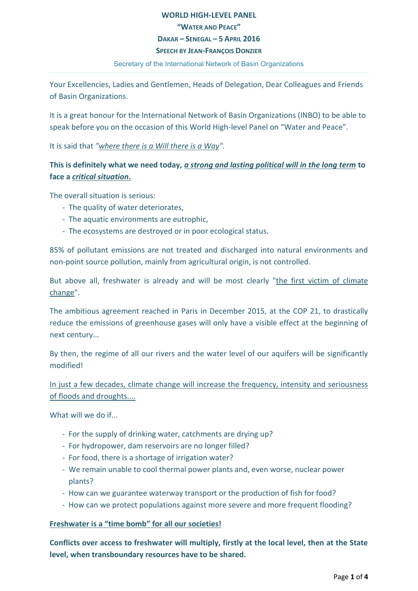# **WORLD HIGH-LEVEL PANEL "WATER AND PEACE" DAKAR – SENEGAL – 5 APRIL 2016 SPEECH BY JEAN-FRANÇOIS DONZIER**

#### Secretary of the International Network of Basin Organizations

Your Excellencies, Ladies and Gentlemen, Heads of Delegation, Dear Colleagues and Friends of Basin Organizations.

It is a great honour for the International Network of Basin Organizations (INBO) to be able to speak before you on the occasion of this World High-level Panel on "Water and Peace".

It is said that *"where there is a Will there is a Way".*

# **This is definitely what we need today,** *a strong and lasting political will in the long term* **to face a** *critical situation***.**

The overall situation is serious:

- The quality of water deteriorates,
- The aquatic environments are eutrophic,
- The ecosystems are destroyed or in poor ecological status.

85% of pollutant emissions are not treated and discharged into natural environments and non-point source pollution, mainly from agricultural origin, is not controlled.

But above all, freshwater is already and will be most clearly "the first victim of climate change".

The ambitious agreement reached in Paris in December 2015, at the COP 21, to drastically reduce the emissions of greenhouse gases will only have a visible effect at the beginning of next century...

By then, the regime of all our rivers and the water level of our aquifers will be significantly modified!

In just a few decades, climate change will increase the frequency, intensity and seriousness of floods and droughts....

What will we do if...

- For the supply of drinking water, catchments are drying up?
- For hydropower, dam reservoirs are no longer filled?
- For food, there is a shortage of irrigation water?
- We remain unable to cool thermal power plants and, even worse, nuclear power plants?
- How can we guarantee waterway transport or the production of fish for food?
- How can we protect populations against more severe and more frequent flooding?

### **Freshwater is a "time bomb" for all our societies!**

**Conflicts over access to freshwater will multiply, firstly at the local level, then at the State level, when transboundary resources have to be shared.**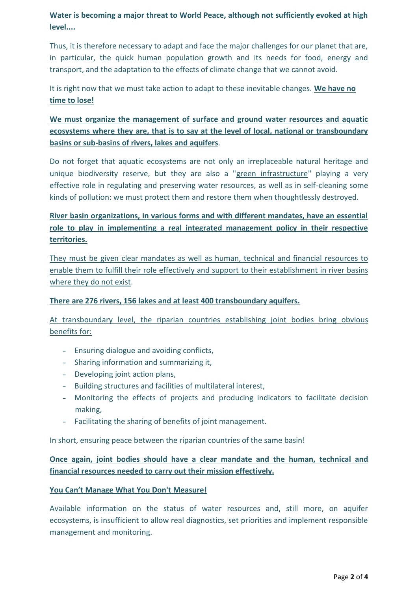**Water is becoming a major threat to World Peace, although not sufficiently evoked at high level....**

Thus, it is therefore necessary to adapt and face the major challenges for our planet that are, in particular, the quick human population growth and its needs for food, energy and transport, and the adaptation to the effects of climate change that we cannot avoid.

It is right now that we must take action to adapt to these inevitable changes. **We have no time to lose!**

**We must organize the management of surface and ground water resources and aquatic ecosystems where they are, that is to say at the level of local, national or transboundary basins or sub-basins of rivers, lakes and aquifers**.

Do not forget that aquatic ecosystems are not only an irreplaceable natural heritage and unique biodiversity reserve, but they are also a "green infrastructure" playing a very effective role in regulating and preserving water resources, as well as in self-cleaning some kinds of pollution: we must protect them and restore them when thoughtlessly destroyed.

# **River basin organizations, in various forms and with different mandates, have an essential role to play in implementing a real integrated management policy in their respective territories.**

They must be given clear mandates as well as human, technical and financial resources to enable them to fulfill their role effectively and support to their establishment in river basins where they do not exist.

## **There are 276 rivers, 156 lakes and at least 400 transboundary aquifers.**

At transboundary level, the riparian countries establishing joint bodies bring obvious benefits for:

- **-** Ensuring dialogue and avoiding conflicts,
- **-** Sharing information and summarizing it,
- **-** Developing joint action plans,
- **-** Building structures and facilities of multilateral interest,
- **-** Monitoring the effects of projects and producing indicators to facilitate decision making,
- **-** Facilitating the sharing of benefits of joint management.

In short, ensuring peace between the riparian countries of the same basin!

**Once again, joint bodies should have a clear mandate and the human, technical and financial resources needed to carry out their mission effectively.**

### **[You Can't Manage What You Don't Measure](https://www.google.fr/url?sa=t&rct=j&q=&esrc=s&source=web&cd=1&cad=rja&uact=8&ved=0CCQQFjAA&url=http%3A%2F%2Fmanagement.about.com%2Fod%2Fmetrics%2Fa%2FMeasure2Manage.htm&ei=sxCPVNXRLMfWaqfFgsAH&usg=AFQjCNENcK7lCDsUZYrwNt4ovxM5Biu_-g&bvm=bv.81828268,d.bGQ)!**

Available information on the status of water resources and, still more, on aquifer ecosystems, is insufficient to allow real diagnostics, set priorities and implement responsible management and monitoring.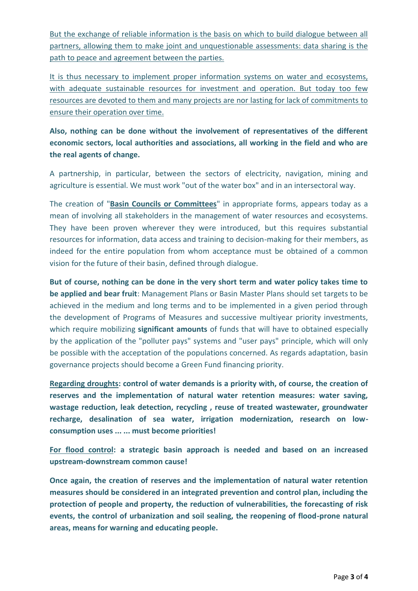But the exchange of reliable information is the basis on which to build dialogue between all partners, allowing them to make joint and unquestionable assessments: data sharing is the path to peace and agreement between the parties.

It is thus necessary to implement proper information systems on water and ecosystems, with adequate sustainable resources for investment and operation. But today too few resources are devoted to them and many projects are nor lasting for lack of commitments to ensure their operation over time.

**Also, nothing can be done without the involvement of representatives of the different economic sectors, local authorities and associations, all working in the field and who are the real agents of change.**

A partnership, in particular, between the sectors of electricity, navigation, mining and agriculture is essential. We must work "out of the water box" and in an intersectoral way.

The creation of "**Basin Councils or Committees**" in appropriate forms, appears today as a mean of involving all stakeholders in the management of water resources and ecosystems. They have been proven wherever they were introduced, but this requires substantial resources for information, data access and training to decision-making for their members, as indeed for the entire population from whom acceptance must be obtained of a common vision for the future of their basin, defined through dialogue.

**But of course, nothing can be done in the very short term and water policy takes time to be applied and bear fruit**: Management Plans or Basin Master Plans should set targets to be achieved in the medium and long terms and to be implemented in a given period through the development of Programs of Measures and successive multiyear priority investments, which require mobilizing **significant amounts** of funds that will have to obtained especially by the application of the "polluter pays" systems and "user pays" principle, which will only be possible with the acceptation of the populations concerned. As regards adaptation, basin governance projects should become a Green Fund financing priority.

**Regarding droughts: control of water demands is a priority with, of course, the creation of reserves and the implementation of natural water retention measures: water saving, wastage reduction, leak detection, recycling , reuse of treated wastewater, groundwater recharge, desalination of sea water, irrigation modernization, research on lowconsumption uses ... ... must become priorities!**

**For flood control: a strategic basin approach is needed and based on an increased upstream-downstream common cause!**

**Once again, the creation of reserves and the implementation of natural water retention measures should be considered in an integrated prevention and control plan, including the protection of people and property, the reduction of vulnerabilities, the forecasting of risk events, the control of urbanization and soil sealing, the reopening of flood-prone natural areas, means for warning and educating people.**